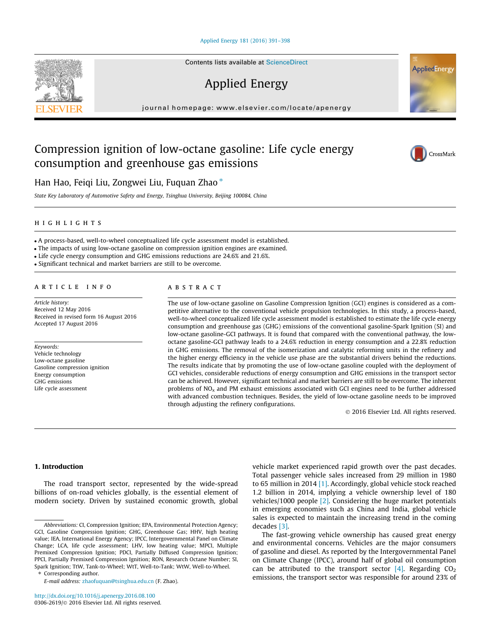#### [Applied Energy 181 \(2016\) 391–398](http://dx.doi.org/10.1016/j.apenergy.2016.08.100)

Applied Energy

journal homepage: [www.elsevier.com/locate/apenergy](http://www.elsevier.com/locate/apenergy)

# Compression ignition of low-octane gasoline: Life cycle energy consumption and greenhouse gas emissions

Han Hao, Feiqi Liu, Zongwei Liu, Fuquan Zhao  $*$ 

State Key Laboratory of Automotive Safety and Energy, Tsinghua University, Beijing 100084, China

highlights are the control of the control of the control of the control of the control of the control of the c

A process-based, well-to-wheel conceptualized life cycle assessment model is established.

The impacts of using low-octane gasoline on compression ignition engines are examined.

Life cycle energy consumption and GHG emissions reductions are 24.6% and 21.6%.

Significant technical and market barriers are still to be overcome.

Article history: Received 12 May 2016 Received in revised form 16 August 2016 Accepted 17 August 2016

Keywords: Vehicle technology Low-octane gasoline Gasoline compression ignition Energy consumption GHG emissions Life cycle assessment

The use of low-octane gasoline on Gasoline Compression Ignition (GCI) engines is considered as a competitive alternative to the conventional vehicle propulsion technologies. In this study, a process-based, well-to-wheel conceptualized life cycle assessment model is established to estimate the life cycle energy consumption and greenhouse gas (GHG) emissions of the conventional gasoline-Spark Ignition (SI) and low-octane gasoline-GCI pathways. It is found that compared with the conventional pathway, the lowoctane gasoline-GCI pathway leads to a 24.6% reduction in energy consumption and a 22.8% reduction in GHG emissions. The removal of the isomerization and catalytic reforming units in the refinery and the higher energy efficiency in the vehicle use phase are the substantial drivers behind the reductions. The results indicate that by promoting the use of low-octane gasoline coupled with the deployment of GCI vehicles, considerable reductions of energy consumption and GHG emissions in the transport sector can be achieved. However, significant technical and market barriers are still to be overcome. The inherent problems of  $NO<sub>x</sub>$  and PM exhaust emissions associated with GCI engines need to be further addressed with advanced combustion techniques. Besides, the yield of low-octane gasoline needs to be improved through adjusting the refinery configurations.

2016 Elsevier Ltd. All rights reserved.

# 1. Introduction

The road transport sector, represented by the wide-spread billions of on-road vehicles globally, is the essential element of modern society. Driven by sustained economic growth, global

Corresponding author.

E-mail address: [zhaofuquan@tsinghua.edu.cn](mailto:zhaofuquan@tsinghua.edu.cn) (F. Zhao).

vehicle market experienced rapid growth over the past decades. Total passenger vehicle sales increased from 29 million in 1980 to 65 million in 2014 [\[1\].](#page-6-0) Accordingly, global vehicle stock reached 1.2 billion in 2014, implying a vehicle ownership level of 180 vehicles/1000 people [\[2\].](#page-6-0) Considering the huge market potentials in emerging economies such as China and India, global vehicle sales is expected to maintain the increasing trend in the coming decades [\[3\].](#page-6-0)

The fast-growing vehicle ownership has caused great energy and environmental concerns. Vehicles are the major consumers of gasoline and diesel. As reported by the Intergovernmental Panel on Climate Change (IPCC), around half of global oil consumption can be attributed to the transport sector  $[4]$ . Regarding CO<sub>2</sub> emissions, the transport sector was responsible for around 23% of





**AppliedEnergy** 

Abbreviations: CI, Compression Ignition; EPA, Environmental Protection Agency; GCI, Gasoline Compression Ignition; GHG, Greenhouse Gas; HHV, high heating value; IEA, International Energy Agency; IPCC, Intergovernmental Panel on Climate Change; LCA, life cycle assessment; LHV, low heating value; MPCI, Multiple Premixed Compression Ignition; PDCI, Partially Diffused Compression Ignition; PPCI, Partially Premixed Compression Ignition; RON, Research Octane Number; SI, Spark Ignition; TtW, Tank-to-Wheel; WtT, Well-to-Tank; WtW, Well-to-Wheel.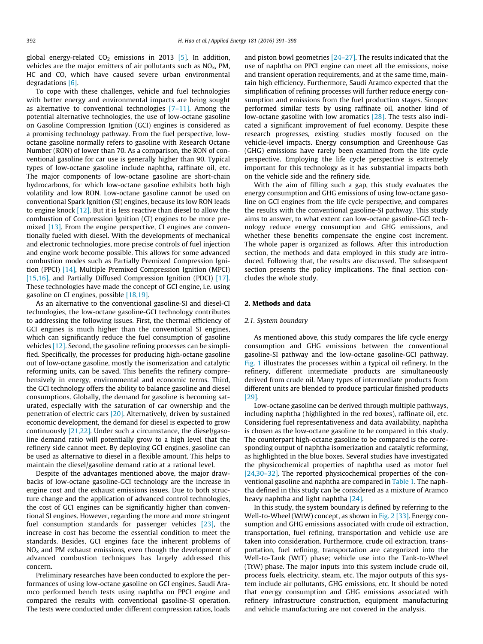global energy-related  $CO<sub>2</sub>$  emissions in 2013 [\[5\].](#page-6-0) In addition, vehicles are the major emitters of air pollutants such as  $NO<sub>x</sub>$ , PM, HC and CO, which have caused severe urban environmental degradations [\[6\]](#page-6-0).

To cope with these challenges, vehicle and fuel technologies with better energy and environmental impacts are being sought as alternative to conventional technologies  $[7-11]$ . Among the potential alternative technologies, the use of low-octane gasoline on Gasoline Compression Ignition (GCI) engines is considered as a promising technology pathway. From the fuel perspective, lowoctane gasoline normally refers to gasoline with Research Octane Number (RON) of lower than 70. As a comparison, the RON of conventional gasoline for car use is generally higher than 90. Typical types of low-octane gasoline include naphtha, raffinate oil, etc. The major components of low-octane gasoline are short-chain hydrocarbons, for which low-octane gasoline exhibits both high volatility and low RON. Low-octane gasoline cannot be used on conventional Spark Ignition (SI) engines, because its low RON leads to engine knock [\[12\]](#page-6-0). But it is less reactive than diesel to allow the combustion of Compression Ignition (CI) engines to be more pre-mixed [\[13\]](#page-6-0). From the engine perspective, CI engines are conventionally fueled with diesel. With the developments of mechanical and electronic technologies, more precise controls of fuel injection and engine work become possible. This allows for some advanced combustion modes such as Partially Premixed Compression Ignition (PPCI) [\[14\],](#page-6-0) Multiple Premixed Compression Ignition (MPCI) [\[15,16\],](#page-6-0) and Partially Diffused Compression Ignition (PDCI) [\[17\].](#page-6-0) These technologies have made the concept of GCI engine, i.e. using gasoline on CI engines, possible [\[18,19\]](#page-6-0).

As an alternative to the conventional gasoline-SI and diesel-CI technologies, the low-octane gasoline-GCI technology contributes to addressing the following issues. First, the thermal efficiency of GCI engines is much higher than the conventional SI engines, which can significantly reduce the fuel consumption of gasoline vehicles [\[12\]](#page-6-0). Second, the gasoline refining processes can be simplified. Specifically, the processes for producing high-octane gasoline out of low-octane gasoline, mostly the isomerization and catalytic reforming units, can be saved. This benefits the refinery comprehensively in energy, environmental and economic terms. Third, the GCI technology offers the ability to balance gasoline and diesel consumptions. Globally, the demand for gasoline is becoming saturated, especially with the saturation of car ownership and the penetration of electric cars [\[20\].](#page-6-0) Alternatively, driven by sustained economic development, the demand for diesel is expected to grow continuously [\[21,22\]](#page-6-0). Under such a circumstance, the diesel/gasoline demand ratio will potentially grow to a high level that the refinery side cannot meet. By deploying GCI engines, gasoline can be used as alternative to diesel in a flexible amount. This helps to maintain the diesel/gasoline demand ratio at a rational level.

Despite of the advantages mentioned above, the major drawbacks of low-octane gasoline-GCI technology are the increase in engine cost and the exhaust emissions issues. Due to both structure change and the application of advanced control technologies, the cost of GCI engines can be significantly higher than conventional SI engines. However, regarding the more and more stringent fuel consumption standards for passenger vehicles [\[23\],](#page-6-0) the increase in cost has become the essential condition to meet the standards. Besides, GCI engines face the inherent problems of  $NO<sub>x</sub>$  and PM exhaust emissions, even though the development of advanced combustion techniques has largely addressed this concern.

Preliminary researches have been conducted to explore the performances of using low-octane gasoline on GCI engines. Saudi Aramco performed bench tests using naphtha on PPCI engine and compared the results with conventional gasoline-SI operation. The tests were conducted under different compression ratios, loads and piston bowl geometries  $[24-27]$ . The results indicated that the use of naphtha on PPCI engine can meet all the emissions, noise and transient operation requirements, and at the same time, maintain high efficiency. Furthermore, Saudi Aramco expected that the simplification of refining processes will further reduce energy consumption and emissions from the fuel production stages. Sinopec performed similar tests by using raffinate oil, another kind of low-octane gasoline with low aromatics [\[28\]](#page-6-0). The tests also indicated a significant improvement of fuel economy. Despite these research progresses, existing studies mostly focused on the vehicle-level impacts. Energy consumption and Greenhouse Gas (GHG) emissions have rarely been examined from the life cycle perspective. Employing the life cycle perspective is extremely important for this technology as it has substantial impacts both on the vehicle side and the refinery side.

With the aim of filling such a gap, this study evaluates the energy consumption and GHG emissions of using low-octane gasoline on GCI engines from the life cycle perspective, and compares the results with the conventional gasoline-SI pathway. This study aims to answer, to what extent can low-octane gasoline-GCI technology reduce energy consumption and GHG emissions, and whether these benefits compensate the engine cost increment. The whole paper is organized as follows. After this introduction section, the methods and data employed in this study are introduced. Following that, the results are discussed. The subsequent section presents the policy implications. The final section concludes the whole study.

#### 2. Methods and data

#### 2.1. System boundary

As mentioned above, this study compares the life cycle energy consumption and GHG emissions between the conventional gasoline-SI pathway and the low-octane gasoline-GCI pathway. [Fig. 1](#page-2-0) illustrates the processes within a typical oil refinery. In the refinery, different intermediate products are simultaneously derived from crude oil. Many types of intermediate products from different units are blended to produce particular finished products [\[29\]](#page-6-0).

Low-octane gasoline can be derived through multiple pathways, including naphtha (highlighted in the red boxes), raffinate oil, etc. Considering fuel representativeness and data availability, naphtha is chosen as the low-octane gasoline to be compared in this study. The counterpart high-octane gasoline to be compared is the corresponding output of naphtha isomerization and catalytic reforming, as highlighted in the blue boxes. Several studies have investigated the physicochemical properties of naphtha used as motor fuel [\[24,30–32\].](#page-6-0) The reported physicochemical properties of the conventional gasoline and naphtha are compared in [Table 1.](#page-2-0) The naphtha defined in this study can be considered as a mixture of Aramco heavy naphtha and light naphtha [\[24\].](#page-6-0)

In this study, the system boundary is defined by referring to the Well-to-Wheel (WtW) concept, as shown in [Fig. 2](#page-2-0) [\[33\]](#page-6-0). Energy consumption and GHG emissions associated with crude oil extraction, transportation, fuel refining, transportation and vehicle use are taken into consideration. Furthermore, crude oil extraction, transportation, fuel refining, transportation are categorized into the Well-to-Tank (WtT) phase; vehicle use into the Tank-to-Wheel (TtW) phase. The major inputs into this system include crude oil, process fuels, electricity, steam, etc. The major outputs of this system include air pollutants, GHG emissions, etc. It should be noted that energy consumption and GHG emissions associated with refinery infrastructure construction, equipment manufacturing and vehicle manufacturing are not covered in the analysis.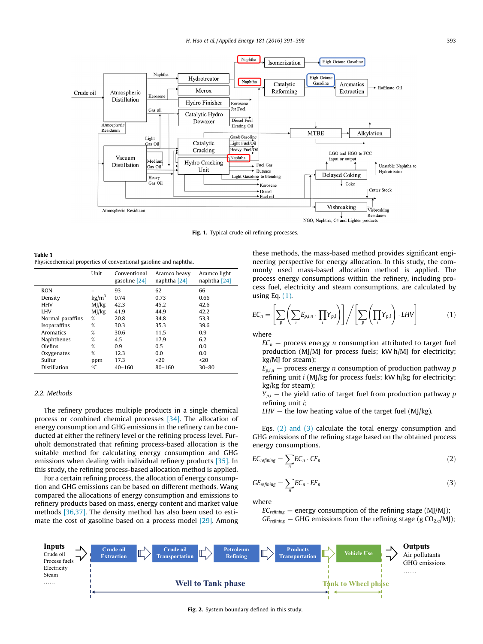<span id="page-2-0"></span>

Fig. 1. Typical crude oil refining processes.

Table 1 Physicochemical properties of conventional gasoline and naphtha.

|                  | Unit            | Conventional<br>gasoline [24] | Aramco heavy<br>naphtha [24] | Aramco light<br>naphtha [24] |
|------------------|-----------------|-------------------------------|------------------------------|------------------------------|
| <b>RON</b>       |                 | 93                            | 62                           | 66                           |
| Density          | $\text{kg/m}^3$ | 0.74                          | 0.73                         | 0.66                         |
| HHV              | M1/kg           | 42.3                          | 45.2                         | 42.6                         |
| <b>LHV</b>       | MI/kg           | 41.9                          | 44.9                         | 42.2                         |
| Normal paraffins | %               | 20.8                          | 34.8                         | 53.3                         |
| Isoparaffins     | %               | 30.3                          | 35.3                         | 39.6                         |
| Aromatics        | %               | 30.6                          | 11.5                         | 0.9                          |
| Naphthenes       | %               | 4.5                           | 17.9                         | 6.2                          |
| Olefins          | %               | 0.9                           | 0.5                          | 0.0                          |
| Oxygenates       | %               | 12.3                          | 0.0                          | 0.0                          |
| Sulfur           | ppm             | 17.3                          | $20$                         | $20$                         |
| Distillation     | °C              | 40-160                        | 80-160                       | $30 - 80$                    |

# 2.2. Methods

The refinery produces multiple products in a single chemical process or combined chemical processes [\[34\]](#page-7-0). The allocation of energy consumption and GHG emissions in the refinery can be conducted at either the refinery level or the refining process level. Furuholt demonstrated that refining process-based allocation is the suitable method for calculating energy consumption and GHG emissions when dealing with individual refinery products [\[35\]](#page-7-0). In this study, the refining process-based allocation method is applied.

For a certain refining process, the allocation of energy consumption and GHG emissions can be based on different methods. Wang compared the allocations of energy consumption and emissions to refinery products based on mass, energy content and market value methods [\[36,37\]](#page-7-0). The density method has also been used to estimate the cost of gasoline based on a process model [\[29\].](#page-6-0) Among these methods, the mass-based method provides significant engineering perspective for energy allocation. In this study, the commonly used mass-based allocation method is applied. The process energy consumptions within the refinery, including process fuel, electricity and steam consumptions, are calculated by using Eq. (1).

$$
EC_n = \left[\sum_{p} \left(\sum_{i} E_{p,i,n} \cdot \prod_{i} Y_{p,i}\right)\right] / \left[\sum_{p} \left(\prod_{i} Y_{p,i}\right) \cdot LHV\right]
$$
(1)

where

 $EC_n$  – process energy *n* consumption attributed to target fuel production (MJ/MJ for process fuels; kW h/MJ for electricity; kg/MJ for steam);

 $E_{p,i,n}$  – process energy *n* consumption of production pathway *p* refining unit i (MJ/kg for process fuels; kW h/kg for electricity; kg/kg for steam);

 $Y_{p,i}$  – the yield ratio of target fuel from production pathway p refining unit i;

 $LHV$  – the low heating value of the target fuel (MJ/kg).

Eqs. (2) and (3) calculate the total energy consumption and GHG emissions of the refining stage based on the obtained process energy consumptions.

$$
EC_{refining} = \sum_{n} EC_n \cdot CF_n \tag{2}
$$

$$
GE_{refining} = \sum_{n} EC_n \cdot EF_n \tag{3}
$$

where

 $EC_{refining}$  — energy consumption of the refining stage (MJ/MJ);  $GE_{refining}$  – GHG emissions from the refining stage (g  $CO_{2,e}/M$ J);



Fig. 2. System boundary defined in this study.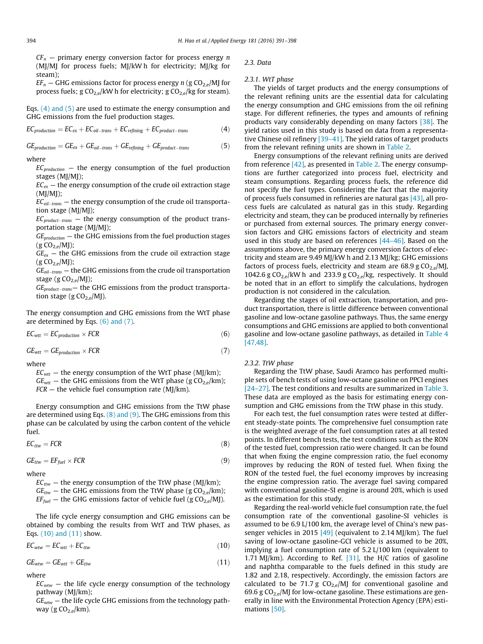$CF_n$  — primary energy conversion factor for process energy n (MJ/MJ for process fuels; MJ/kW h for electricity; MJ/kg for steam);

 $EF_n$  – GHG emissions factor for process energy n (g CO<sub>2,e</sub>/MJ for process fuels;  $g \text{CO}_{2,e}/kW$  h for electricity;  $g \text{CO}_{2,e}/kg$  for steam).

Eqs. (4) and (5) are used to estimate the energy consumption and GHG emissions from the fuel production stages.

$$
EC_{production} = EC_{ex} + EC_{oil-trans} + EC_{refining} + EC_{product-trans}
$$
 (4)

$$
GE_{production} = GE_{ex} + GE_{oil-trans} + GE_{refining} + GE_{product-trans}
$$
 (5)

# where

 $EC_{production}$  – the energy consumption of the fuel production stages (MJ/MJ);

 $EC_{ex}$  – the energy consumption of the crude oil extraction stage  $(MI/MI)$ ;

 $EC_{oil-trans}$  — the energy consumption of the crude oil transportation stage (MJ/MJ);

 $EC_{product-trans}$  – the energy consumption of the product transportation stage (MJ/MJ);

 $GE_{production}$  — the GHG emissions from the fuel production stages  $(g CO<sub>2,e</sub>/MJ);$ 

 $GE_{ex}$  – the GHG emissions from the crude oil extraction stage  $(g CO<sub>2 e</sub>/MI);$ 

 $GE_{oil-trans}$  — the GHG emissions from the crude oil transportation stage (g $CO<sub>2,e</sub>/MJ$ );

 $GE_{product-trans}$ — the GHG emissions from the product transportation stage (g  $CO<sub>2,e</sub>/MJ$ ).

The energy consumption and GHG emissions from the WtT phase are determined by Eqs. (6) and (7).

 $EC_{wtt} = EC_{production} \times FCR$  (6)

 $GE_{wtt} = GE_{production} \times FCR$  (7)

where

 $EC_{wtt}$  – the energy consumption of the WtT phase (MJ/km);

 $GE<sub>wtt</sub>$  – the GHG emissions from the WtT phase (g CO<sub>2,e</sub>/km);

 $FCR -$  the vehicle fuel consumption rate (MJ/km).

Energy consumption and GHG emissions from the TtW phase are determined using Eqs.  $(8)$  and  $(9)$ . The GHG emissions from this phase can be calculated by using the carbon content of the vehicle fuel.

$$
EC_{ttw} = FCR \tag{8}
$$

$$
GE_{ttw} = EF_{fuel} \times FCR
$$
 (9)

where

 $EC_{ttw}$  – the energy consumption of the TtW phase (MJ/km);  $GE_{ttw}$  – the GHG emissions from the TtW phase (g CO<sub>2,e</sub>/km);

 $EF_{fuel}$  – the GHG emissions factor of vehicle fuel (g  $CO_{2,e}$ /MJ).

The life cycle energy consumption and GHG emissions can be obtained by combing the results from WtT and TtW phases, as

$$
EC_{wtw} = EC_{wtt} + EC_{ttw}
$$
 (10)

 $GE_{wtw} = GE_{wtt} + GE_{ttw}$  (11)

# where

Eqs. (10) and (11) show.

 $EC<sub>wtw</sub>$  – the life cycle energy consumption of the technology pathway (MJ/km);

 $GE<sub>wtw</sub>$  – the life cycle GHG emissions from the technology pathway (g $CO<sub>2,e</sub>/km$ ).

2.3. Data

# 2.3.1. WtT phase

The yields of target products and the energy consumptions of the relevant refining units are the essential data for calculating the energy consumption and GHG emissions from the oil refining stage. For different refineries, the types and amounts of refining products vary considerably depending on many factors [\[38\].](#page-7-0) The yield ratios used in this study is based on data from a representative Chinese oil refinery [\[39–41\]](#page-7-0). The yield ratios of target products from the relevant refining units are shown in [Table 2.](#page-4-0)

Energy consumptions of the relevant refining units are derived from reference  $[42]$ , as presented in [Table 2.](#page-4-0) The energy consumptions are further categorized into process fuel, electricity and steam consumptions. Regarding process fuels, the reference did not specify the fuel types. Considering the fact that the majority of process fuels consumed in refineries are natural gas  $[43]$ , all process fuels are calculated as natural gas in this study. Regarding electricity and steam, they can be produced internally by refineries or purchased from external sources. The primary energy conversion factors and GHG emissions factors of electricity and steam used in this study are based on references [44-46]. Based on the assumptions above, the primary energy conversion factors of electricity and steam are 9.49 MJ/kW h and 2.13 MJ/kg; GHG emissions factors of process fuels, electricity and steam are 68.9 g  $CO<sub>2</sub>$  MJ, 1042.6 g CO<sub>2 e</sub>/kW h and 233.9 g CO<sub>2 e</sub>/kg, respectively. It should be noted that in an effort to simplify the calculations, hydrogen production is not considered in the calculation.

Regarding the stages of oil extraction, transportation, and product transportation, there is little difference between conventional gasoline and low-octane gasoline pathways. Thus, the same energy consumptions and GHG emissions are applied to both conventional gasoline and low-octane gasoline pathways, as detailed in [Table 4](#page-4-0) [\[47,48\].](#page-7-0)

### 2.3.2. TtW phase

Regarding the TtW phase, Saudi Aramco has performed multiple sets of bench tests of using low-octane gasoline on PPCI engines [\[24–27\]](#page-6-0). The test conditions and results are summarized in [Table 3.](#page-4-0) These data are employed as the basis for estimating energy consumption and GHG emissions from the TtW phase in this study.

For each test, the fuel consumption rates were tested at different steady-state points. The comprehensive fuel consumption rate is the weighted average of the fuel consumption rates at all tested points. In different bench tests, the test conditions such as the RON of the tested fuel, compression ratio were changed. It can be found that when fixing the engine compression ratio, the fuel economy improves by reducing the RON of tested fuel. When fixing the RON of the tested fuel, the fuel economy improves by increasing the engine compression ratio. The average fuel saving compared with conventional gasoline-SI engine is around 20%, which is used as the estimation for this study.

Regarding the real-world vehicle fuel consumption rate, the fuel consumption rate of the conventional gasoline-SI vehicles is assumed to be 6.9 L/100 km, the average level of China's new passenger vehicles in 2015  $[49]$  (equivalent to 2.14 MJ/km). The fuel saving of low-octane gasoline-GCI vehicle is assumed to be 20%, implying a fuel consumption rate of 5.2 L/100 km (equivalent to 1.71 MJ/km). According to Ref.  $[31]$ , the H/C ratios of gasoline and naphtha comparable to the fuels defined in this study are 1.82 and 2.18, respectively. Accordingly, the emission factors are calculated to be 71.7 g  $CO<sub>2,e</sub>/MJ$  for conventional gasoline and 69.6 g  $CO_{2,e}$ /MJ for low-octane gasoline. These estimations are generally in line with the Environmental Protection Agency (EPA) estimations [\[50\]](#page-7-0).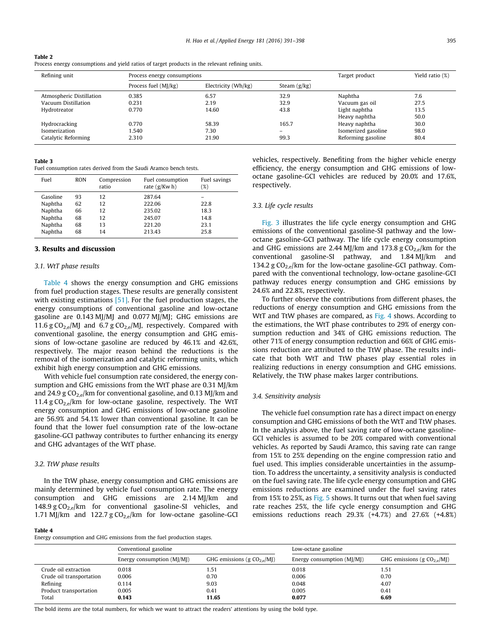#### <span id="page-4-0"></span>Table 2 Process energy consumptions and yield ratios of target products in the relevant refining units.

| Refining unit            | Process energy consumptions |                     |                | Target product      | Yield ratio (%) |
|--------------------------|-----------------------------|---------------------|----------------|---------------------|-----------------|
|                          | Process fuel (MJ/kg)        | Electricity (Wh/kg) | Steam $(g/kg)$ |                     |                 |
| Atmospheric Distillation | 0.385                       | 6.57                | 32.9           | Naphtha             | 7.6             |
| Vacuum Distillation      | 0.231                       | 2.19                | 32.9           | Vacuum gas oil      | 27.5            |
| Hydrotreator             | 0.770                       | 14.60               | 43.8           | Light naphtha       | 13.5            |
|                          |                             |                     |                | Heavy naphtha       | 50.0            |
| Hydrocracking            | 0.770                       | 58.39               | 165.7          | Heavy naphtha       | 30.0            |
| Isomerization            | l.540                       | 7.30                | $-$            | Isomerized gasoline | 98.0            |
| Catalytic Reforming      | 2.310                       | 21.90               | 99.3           | Reforming gasoline  | 80.4            |

#### Table 3

Fuel consumption rates derived from the Saudi Aramco bench tests.

| Fuel     | <b>RON</b> | Compression<br>ratio | Fuel consumption<br>rate $(g/Kw h)$ | Fuel savings<br>$(\%)$ |
|----------|------------|----------------------|-------------------------------------|------------------------|
| Gasoline | 93         | 12                   | 287.64                              |                        |
| Naphtha  | 62         | 12                   | 222.06                              | 22.8                   |
| Naphtha  | 66         | 12                   | 235.02                              | 18.3                   |
| Naphtha  | 68         | 12                   | 245.07                              | 14.8                   |
| Naphtha  | 68         | 13                   | 221.20                              | 23.1                   |
| Naphtha  | 68         | 14                   | 213.43                              | 25.8                   |

# 3. Results and discussion

# 3.1. WtT phase results

Table 4 shows the energy consumption and GHG emissions from fuel production stages. These results are generally consistent with existing estimations [\[51\]](#page-7-0). For the fuel production stages, the energy consumptions of conventional gasoline and low-octane gasoline are 0.143 MJ/MJ and 0.077 MJ/MJ; GHG emissions are 11.6 g  $CO_{2,e}$ /MJ and 6.7 g  $CO_{2,e}$ /MJ, respectively. Compared with conventional gasoline, the energy consumption and GHG emissions of low-octane gasoline are reduced by 46.1% and 42.6%, respectively. The major reason behind the reductions is the removal of the isomerization and catalytic reforming units, which exhibit high energy consumption and GHG emissions.

With vehicle fuel consumption rate considered, the energy consumption and GHG emissions from the WtT phase are 0.31 MJ/km and 24.9 g  $CO_{2,e}/km$  for conventional gasoline, and 0.13 MJ/km and 11.4 g  $CO_{2,e}/km$  for low-octane gasoline, respectively. The WtT energy consumption and GHG emissions of low-octane gasoline are 56.9% and 54.1% lower than conventional gasoline. It can be found that the lower fuel consumption rate of the low-octane gasoline-GCI pathway contributes to further enhancing its energy and GHG advantages of the WtT phase.

### 3.2. TtW phase results

In the TtW phase, energy consumption and GHG emissions are mainly determined by vehicle fuel consumption rate. The energy consumption and GHG emissions are 2.14 MJ/km and 148.9 g  $CO_{2,e}/km$  for conventional gasoline-SI vehicles, and 1.71 MJ/km and 122.7 g  $CO_{2,e}/km$  for low-octane gasoline-GCI

#### Table 4

| JIC 4<br>ergy consumption and GHG emissions from the fuel production stages. |                              |                               |                              |                               |  |
|------------------------------------------------------------------------------|------------------------------|-------------------------------|------------------------------|-------------------------------|--|
|                                                                              | Conventional gasoline        |                               | Low-octane gasoline          |                               |  |
|                                                                              | Energy consumption $(M)/M$ ) | GHG emissions (g $CO2,e/MI$ ) | Energy consumption $(MJ/MJ)$ | GHG emissions (g $CO2,e/M$ ]) |  |
| Crude oil extraction                                                         | 0.018                        | 1.51                          | 0.018                        | 1.51                          |  |
| Crude oil transportation                                                     | 0.006                        | 0.70                          | 0.006                        | 0.70                          |  |
| Refining                                                                     | 0.114                        | 9.03                          | 0.048                        | 4.07                          |  |

vehicles, respectively. Benefiting from the higher vehicle energy efficiency, the energy consumption and GHG emissions of low-

# 3.3. Life cycle results

respectively.

[Fig. 3](#page-5-0) illustrates the life cycle energy consumption and GHG emissions of the conventional gasoline-SI pathway and the lowoctane gasoline-GCI pathway. The life cycle energy consumption and GHG emissions are 2.44 MJ/km and 173.8 g  $CO<sub>2e</sub>/km$  for the conventional gasoline-SI pathway, and 1.84 MJ/km and 134.2 g  $CO_{2,e}/km$  for the low-octane gasoline-GCI pathway. Compared with the conventional technology, low-octane gasoline-GCI pathway reduces energy consumption and GHG emissions by 24.6% and 22.8%, respectively.

octane gasoline-GCI vehicles are reduced by 20.0% and 17.6%,

To further observe the contributions from different phases, the reductions of energy consumption and GHG emissions from the WtT and TtW phases are compared, as [Fig. 4](#page-5-0) shows. According to the estimations, the WtT phase contributes to 29% of energy consumption reduction and 34% of GHG emissions reduction. The other 71% of energy consumption reduction and 66% of GHG emissions reduction are attributed to the TtW phase. The results indicate that both WtT and TtW phases play essential roles in realizing reductions in energy consumption and GHG emissions. Relatively, the TtW phase makes larger contributions.

### 3.4. Sensitivity analysis

The vehicle fuel consumption rate has a direct impact on energy consumption and GHG emissions of both the WtT and TtW phases. In the analysis above, the fuel saving rate of low-octane gasoline-GCI vehicles is assumed to be 20% compared with conventional vehicles. As reported by Saudi Aramco, this saving rate can range from 15% to 25% depending on the engine compression ratio and fuel used. This implies considerable uncertainties in the assumption. To address the uncertainty, a sensitivity analysis is conducted on the fuel saving rate. The life cycle energy consumption and GHG emissions reductions are examined under the fuel saving rates from 15% to 25%, as [Fig. 5](#page-5-0) shows. It turns out that when fuel saving rate reaches 25%, the life cycle energy consumption and GHG emissions reductions reach 29.3% (+4.7%) and 27.6% (+4.8%)

The bold items are the total numbers, for which we want to attract the readers' attentions by using the bold type.

Product transportation  $0.005$  0.41 0.005 0.41 0.005 0.41 Total 0.143 11.65 0.077 6.69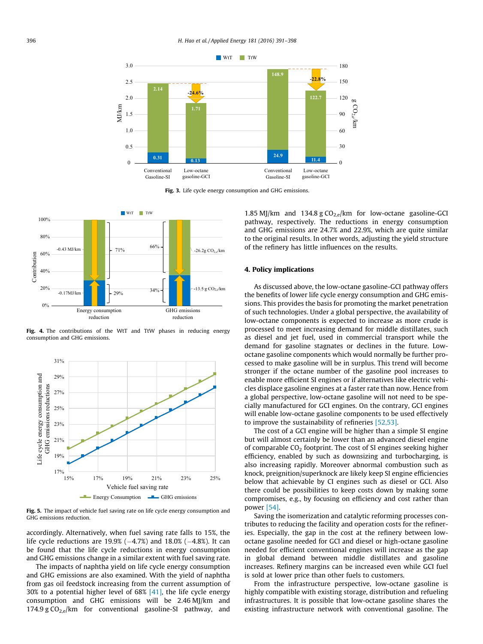<span id="page-5-0"></span>

Fig. 3. Life cycle energy consumption and GHG emissions.



Fig. 4. The contributions of the WtT and TtW phases in reducing energy consumption and GHG emissions.



Fig. 5. The impact of vehicle fuel saving rate on life cycle energy consumption and GHG emissions reduction.

accordingly. Alternatively, when fuel saving rate falls to 15%, the life cycle reductions are  $19.9% (-4.7%)$  and  $18.0% (-4.8%).$  It can be found that the life cycle reductions in energy consumption and GHG emissions change in a similar extent with fuel saving rate.

The impacts of naphtha yield on life cycle energy consumption and GHG emissions are also examined. With the yield of naphtha from gas oil feedstock increasing from the current assumption of 30% to a potential higher level of 68% [\[41\],](#page-7-0) the life cycle energy consumption and GHG emissions will be 2.46 MJ/km and 174.9 g  $CO_{2,e}/km$  for conventional gasoline-SI pathway, and

1.85 MJ/km and 134.8 g  $CO<sub>2,e</sub>/km$  for low-octane gasoline-GCI pathway, respectively. The reductions in energy consumption and GHG emissions are 24.7% and 22.9%, which are quite similar to the original results. In other words, adjusting the yield structure of the refinery has little influences on the results.

# 4. Policy implications

As discussed above, the low-octane gasoline-GCI pathway offers the benefits of lower life cycle energy consumption and GHG emissions. This provides the basis for promoting the market penetration of such technologies. Under a global perspective, the availability of low-octane components is expected to increase as more crude is processed to meet increasing demand for middle distillates, such as diesel and jet fuel, used in commercial transport while the demand for gasoline stagnates or declines in the future. Lowoctane gasoline components which would normally be further processed to make gasoline will be in surplus. This trend will become stronger if the octane number of the gasoline pool increases to enable more efficient SI engines or if alternatives like electric vehicles displace gasoline engines at a faster rate than now. Hence from a global perspective, low-octane gasoline will not need to be specially manufactured for GCI engines. On the contrary, GCI engines will enable low-octane gasoline components to be used effectively to improve the sustainability of refineries [\[52,53\].](#page-7-0)

The cost of a GCI engine will be higher than a simple SI engine but will almost certainly be lower than an advanced diesel engine of comparable  $CO<sub>2</sub>$  footprint. The cost of SI engines seeking higher efficiency, enabled by such as downsizing and turbocharging, is also increasing rapidly. Moreover abnormal combustion such as knock, preignition/superknock are likely keep SI engine efficiencies below that achievable by CI engines such as diesel or GCI. Also there could be possibilities to keep costs down by making some compromises, e.g., by focusing on efficiency and cost rather than power [\[54\].](#page-7-0)

Saving the isomerization and catalytic reforming processes contributes to reducing the facility and operation costs for the refineries. Especially, the gap in the cost at the refinery between lowoctane gasoline needed for GCI and diesel or high-octane gasoline needed for efficient conventional engines will increase as the gap in global demand between middle distillates and gasoline increases. Refinery margins can be increased even while GCI fuel is sold at lower price than other fuels to customers.

From the infrastructure perspective, low-octane gasoline is highly compatible with existing storage, distribution and refueling infrastructures. It is possible that low-octane gasoline shares the existing infrastructure network with conventional gasoline. The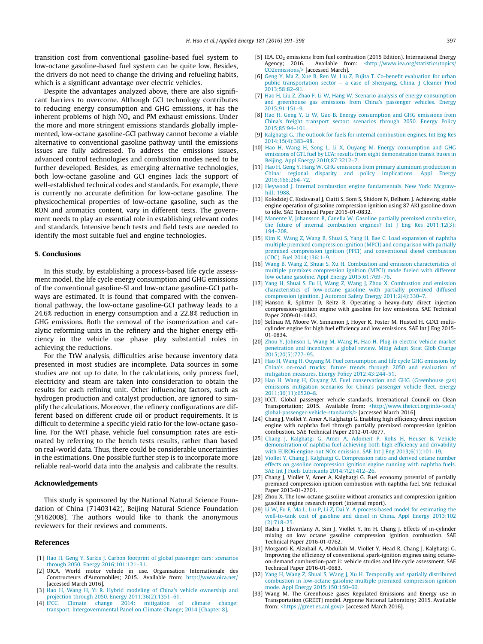<span id="page-6-0"></span>transition cost from conventional gasoline-based fuel system to low-octane gasoline-based fuel system can be quite low. Besides, the drivers do not need to change the driving and refueling habits, which is a significant advantage over electric vehicles.

Despite the advantages analyzed above, there are also significant barriers to overcome. Although GCI technology contributes to reducing energy consumption and GHG emissions, it has the inherent problems of high  $NO<sub>x</sub>$  and PM exhaust emissions. Under the more and more stringent emissions standards globally implemented, low-octane gasoline-GCI pathway cannot become a viable alternative to conventional gasoline pathway until the emissions issues are fully addressed. To address the emissions issues, advanced control technologies and combustion modes need to be further developed. Besides, as emerging alternative technologies, both low-octane gasoline and GCI engines lack the support of well-established technical codes and standards. For example, there is currently no accurate definition for low-octane gasoline. The physicochemical properties of low-octane gasoline, such as the RON and aromatics content, vary in different tests. The government needs to play an essential role in establishing relevant codes and standards. Intensive bench tests and field tests are needed to identify the most suitable fuel and engine technologies.

# 5. Conclusions

In this study, by establishing a process-based life cycle assessment model, the life cycle energy consumption and GHG emissions of the conventional gasoline-SI and low-octane gasoline-GCI pathways are estimated. It is found that compared with the conventional pathway, the low-octane gasoline-GCI pathway leads to a 24.6% reduction in energy consumption and a 22.8% reduction in GHG emissions. Both the removal of the isomerization and catalytic reforming units in the refinery and the higher energy efficiency in the vehicle use phase play substantial roles in achieving the reductions.

For the TtW analysis, difficulties arise because inventory data presented in most studies are incomplete. Data sources in some studies are not up to date. In the calculations, only process fuel, electricity and steam are taken into consideration to obtain the results for each refining unit. Other influencing factors, such as hydrogen production and catalyst production, are ignored to simplify the calculations. Moreover, the refinery configurations are different based on different crude oil or product requirements. It is difficult to determine a specific yield ratio for the low-octane gasoline. For the WtT phase, vehicle fuel consumption rates are estimated by referring to the bench tests results, rather than based on real-world data. Thus, there could be considerable uncertainties in the estimations. One possible further step is to incorporate more reliable real-world data into the analysis and calibrate the results.

# Acknowledgements

This study is sponsored by the National Natural Science Foundation of China (71403142), Beijing Natural Science Foundation (9162008). The authors would like to thank the anonymous reviewers for their reviews and comments.

#### References

- [1] [Hao H, Geng Y, Sarkis J. Carbon footprint of global passenger cars: scenarios](http://refhub.elsevier.com/S0306-2619(16)31198-9/h0005) [through 2050. Energy 2016;101:121–31.](http://refhub.elsevier.com/S0306-2619(16)31198-9/h0005)
- [2] OICA. World motor vehicle in use. Organisation Internationale des Constructeurs d'Automobiles; 2015. Available from: <http://www.oica.net/> [accessed March 2016].
- [3] [Hao H, Wang H, Yi R. Hybrid modeling of China's vehicle ownership and](http://refhub.elsevier.com/S0306-2619(16)31198-9/h0015) [projection through 2050. Energy 2011;36\(2\):1351–61](http://refhub.elsevier.com/S0306-2619(16)31198-9/h0015).<br>IPCC. Climate change 2014: mitigation of
- [4] [IPCC. Climate change 2014: mitigation of climate change:](http://refhub.elsevier.com/S0306-2619(16)31198-9/h0020) [transport. Intergovernmental Panel on Climate Change; 2014 \[Chapter 8\]](http://refhub.elsevier.com/S0306-2619(16)31198-9/h0020).
- [5] IEA.  $CO_2$  emissions from fuel combustion (2015 Edition). International Energy Agency; 2016. Available from:  $\langle$ http://www.iea.org/statistics/topics/ [<http://www.iea.org/statistics/topics/](http://www.iea.org/statistics/topics/CO2emissions/) [CO2emissions/>](http://www.iea.org/statistics/topics/CO2emissions/) [accessed March].
- [6] [Geng Y, Ma Z, Xue B, Ren W, Liu Z, Fujita T. Co-benefit evaluation for urban](http://refhub.elsevier.com/S0306-2619(16)31198-9/h0030) [public transportation sector – a case of Shenyang, China. J Cleaner Prod](http://refhub.elsevier.com/S0306-2619(16)31198-9/h0030) [2013;58:82–91](http://refhub.elsevier.com/S0306-2619(16)31198-9/h0030).
- [7] [Hao H, Liu Z, Zhao F, Li W, Hang W. Scenario analysis of energy consumption](http://refhub.elsevier.com/S0306-2619(16)31198-9/h0035) [and greenhouse gas emissions from China's passenger vehicles. Energy](http://refhub.elsevier.com/S0306-2619(16)31198-9/h0035) [2015;91:151–9](http://refhub.elsevier.com/S0306-2619(16)31198-9/h0035).
- [8] [Hao H, Geng Y, Li W, Guo B. Energy consumption and GHG emissions from](http://refhub.elsevier.com/S0306-2619(16)31198-9/h0040) [China's freight transport sector: scenarios through 2050. Energy Policy](http://refhub.elsevier.com/S0306-2619(16)31198-9/h0040) [2015;85:94–101.](http://refhub.elsevier.com/S0306-2619(16)31198-9/h0040)
- [9] [Kalghatgi G. The outlook for fuels for internal combustion engines. Int Eng Res](http://refhub.elsevier.com/S0306-2619(16)31198-9/h0045) [2014;15\(4\):383–98.](http://refhub.elsevier.com/S0306-2619(16)31198-9/h0045)
- [10] [Hao H, Wang H, Song L, Li X, Ouyang M. Energy consumption and GHG](http://refhub.elsevier.com/S0306-2619(16)31198-9/h0050) [emissions of GTL fuel by LCA: results from eight demonstration transit buses in](http://refhub.elsevier.com/S0306-2619(16)31198-9/h0050) [Beijing. Appl Energy 2010;87:3212–7](http://refhub.elsevier.com/S0306-2619(16)31198-9/h0050).
- [11] [Hao H, Geng Y, Hang W. GHG emissions from primary aluminum production in](http://refhub.elsevier.com/S0306-2619(16)31198-9/h0055) [China: regional disparity and policy implications. Appl Energy](http://refhub.elsevier.com/S0306-2619(16)31198-9/h0055) [2016;166:264–72](http://refhub.elsevier.com/S0306-2619(16)31198-9/h0055).
- [12] [Heywood J. Internal combustion engine fundamentals. New York: Mcgraw](http://refhub.elsevier.com/S0306-2619(16)31198-9/h0060)hill; 1988
- [13] Kolodziej C, Kodavasal J, Ciatti S, Som S, Shidore N, Delhom J. Achieving stable engine operation of gasoline compression ignition using 87 AKI gasoline down to idle. SAE Technical Paper 2015-01-0832.
- [14] [Manente V, Johansson B, Canella W. Gasoline partially premixed combustion,](http://refhub.elsevier.com/S0306-2619(16)31198-9/h0070) [the future of internal combustion engines? Int J Eng Res 2011;12\(3\):](http://refhub.elsevier.com/S0306-2619(16)31198-9/h0070) [194–208.](http://refhub.elsevier.com/S0306-2619(16)31198-9/h0070)
- [15] [Kim K, Wang Z, Wang B, Shuai S, Yang H, Bae C. Load expansion of naphtha](http://refhub.elsevier.com/S0306-2619(16)31198-9/h0075) [multiple premixed compression ignition \(MPCI\) and comparison with partially](http://refhub.elsevier.com/S0306-2619(16)31198-9/h0075) [premixed compression ignition \(PPCI\) and conventional diesel combustion](http://refhub.elsevier.com/S0306-2619(16)31198-9/h0075)  $[CDC]$ . Fuel 2014;136:1-9.
- [16] [Wang B, Wang Z, Shuai S, Xu H. Combustion and emission characteristics of](http://refhub.elsevier.com/S0306-2619(16)31198-9/h0080) [multiple premixes compression ignition \(MPCI\) mode fueled with different](http://refhub.elsevier.com/S0306-2619(16)31198-9/h0080) [low octane gasoline. Appl Energy 2015;61:769–76.](http://refhub.elsevier.com/S0306-2619(16)31198-9/h0080)
- [17] [Yang H, Shuai S, Fu H, Wang Z, Wang J, Zhou X. Combustion and emission](http://refhub.elsevier.com/S0306-2619(16)31198-9/h0085) [characteristics of low-octane gasoline with partially premixed diffused](http://refhub.elsevier.com/S0306-2619(16)31198-9/h0085) [compression iginition. J Automot Safety Energy 2011;2\(4\):330–7.](http://refhub.elsevier.com/S0306-2619(16)31198-9/h0085)
- [18] Hanson R, Splitter D, Reitz R. Operating a heavy-duty direct injection compression-ignition engine with gasoline for low emissions. SAE Technical Paper 2009-01-1442.
- [19] Sellnau M, Moore W, Sinnamon J, Hoyer K, Foster M, Husted H. GDCI multicylinder engine for high fuel efficiency and low emissions. SAE Int J Eng 2015- 01-0834.
- [20] [Zhou Y, Johnson L, Wang M, Wang H, Hao H. Plug-in electric vehicle market](http://refhub.elsevier.com/S0306-2619(16)31198-9/h0100) [penetration and incentives: a global review. Mitig Adapt Strat Glob Change](http://refhub.elsevier.com/S0306-2619(16)31198-9/h0100) [2015;20\(5\):777–95](http://refhub.elsevier.com/S0306-2619(16)31198-9/h0100).
- [21] [Hao H, Wang H, Ouyang M. Fuel consumption and life cycle GHG emissions by](http://refhub.elsevier.com/S0306-2619(16)31198-9/h0105) [China's on-road trucks: future trends through 2050 and evaluation of](http://refhub.elsevier.com/S0306-2619(16)31198-9/h0105) [mitigation measures. Energy Policy 2012;43:244–51.](http://refhub.elsevier.com/S0306-2619(16)31198-9/h0105)
- [22] [Hao H, Wang H, Ouyang M. Fuel conservation and GHG \(Greenhouse gas\)](http://refhub.elsevier.com/S0306-2619(16)31198-9/h0110) [emissions mitigation scenarios for China's passenger vehicle fleet. Energy](http://refhub.elsevier.com/S0306-2619(16)31198-9/h0110) [2011;36\(11\):6520–8.](http://refhub.elsevier.com/S0306-2619(16)31198-9/h0110)
- [23] ICCT. Global passenger vehicle standards. International Council on Clean Transportation; 2015. Available from: [<http://www.theicct.org/info-tools/](http://www.theicct.org/info-tools/global-passenger-vehicle-standards/) [global-passenger-vehicle-standards/>](http://www.theicct.org/info-tools/global-passenger-vehicle-standards/) [accessed March 2016].
- [24] Chang J, Viollet Y, Amer A, Kalghatgi G, Enabling high efficiency direct injection engine with naphtha fuel through partially premixed compression ignition combustion. SAE Technical Paper 2012-01-0677.
- [25] [Chang J, Kalghatgi G, Amer A, Adomeit P, Rohs H, Heuser B. Vehicle](http://refhub.elsevier.com/S0306-2619(16)31198-9/h0125) [demonstration of naphtha fuel achieving both high efficiency and drivability](http://refhub.elsevier.com/S0306-2619(16)31198-9/h0125) [with EURO6 engine-out NOx emission. SAE Int J Eng 2013;6\(1\):101–19](http://refhub.elsevier.com/S0306-2619(16)31198-9/h0125).
- [26] [Viollet Y, Chang J, Kalghatgi G. Compression ratio and derived cetane number](http://refhub.elsevier.com/S0306-2619(16)31198-9/h0130) [effects on gasoline compression ignition engine running with naphtha fuels.](http://refhub.elsevier.com/S0306-2619(16)31198-9/h0130) [SAE Int J Fuels Lubricants 2014;7\(2\):412–26.](http://refhub.elsevier.com/S0306-2619(16)31198-9/h0130)
- [27] Chang J, Viollet Y, Amer A, Kalghatgi G. Fuel economy potential of partially premixed compression ignition combustion with naphtha fuel. SAE Technical Paper 2013-01-2701.
- [28] Zhou X. The low-octane gasoline without aromatics and compression ignition gasoline engine research report (internal report).
- [29] [Li W, Fu F, Ma L, Liu P, Li Z, Dai Y. A process-based model for estimating the](http://refhub.elsevier.com/S0306-2619(16)31198-9/h0145) [well-to-tank cost of gasoline and diesel in China. Appl Energy 2013;102](http://refhub.elsevier.com/S0306-2619(16)31198-9/h0145) [\(2\):718–25.](http://refhub.elsevier.com/S0306-2619(16)31198-9/h0145)
- [30] Badra J, Elwardany A, Sim J, Viollet Y, Im H, Chang J. Effects of in-cylinder mixing on low octane gasoline compression ignition combustion. SAE Technical Paper 2016-01-0762.
- [31] Morganti K, Alzubail A, Abdullah M, Viollet Y, Head R, Chang J, Kalghatgi G. Improving the efficiency of conventional spark-ignition engines using octaneon-demand combustion-part ii: vehicle studies and life cycle assessment. SAE Technical Paper 2016-01-0683.
- [32] [Yang H, Wang Z, Shuai S, Wang J, Xu H. Temporally and spatially distributed](http://refhub.elsevier.com/S0306-2619(16)31198-9/h0160) [combustion in low-octane gasoline multiple premixed compression ignition](http://refhub.elsevier.com/S0306-2619(16)31198-9/h0160) [mode. Appl Energy 2015;150:150–60](http://refhub.elsevier.com/S0306-2619(16)31198-9/h0160).
- [33] Wang M. The Greenhouse gases Regulated Emissions and Energy use in Transportation (GREET) model. Argonne National Laboratory; 2015. Available from: [<https://greet.es.anl.gov/>](https://greet.es.anl.gov/) [accessed March 2016].